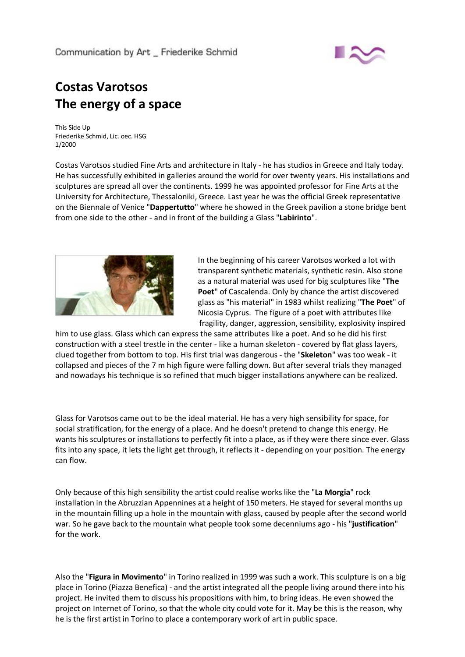

## **Costas Varotsos The energy of a space**

This Side Up Friederike Schmid, Lic. oec. HSG 1/2000

Costas Varotsos studied Fine Arts and architecture in Italy ‐ he has studios in Greece and Italy today. He has successfully exhibited in galleries around the world for over twenty years. His installations and sculptures are spread all over the continents. 1999 he was appointed professor for Fine Arts at the University for Architecture, Thessaloniki, Greece. Last year he was the official Greek representative on the Biennale of Venice "**Dappertutto**" where he showed in the Greek pavilion a stone bridge bent from one side to the other ‐ and in front of the building a Glass "**Labirinto**".



In the beginning of his career Varotsos worked a lot with transparent synthetic materials, synthetic resin. Also stone as a natural material was used for big sculptures like "**The Poet**" of Cascalenda. Only by chance the artist discovered glass as "his material" in 1983 whilst realizing "**The Poet**" of Nicosia Cyprus. The figure of a poet with attributes like fragility, danger, aggression, sensibility, explosivity inspired

him to use glass. Glass which can express the same attributes like a poet. And so he did his first construction with a steel trestle in the center ‐ like a human skeleton ‐ covered by flat glass layers, clued together from bottom to top. His first trial was dangerous ‐ the "**Skeleton**" was too weak ‐ it collapsed and pieces of the 7 m high figure were falling down. But after several trials they managed and nowadays his technique is so refined that much bigger installations anywhere can be realized.

Glass for Varotsos came out to be the ideal material. He has a very high sensibility for space, for social stratification, for the energy of a place. And he doesn't pretend to change this energy. He wants his sculptures or installations to perfectly fit into a place, as if they were there since ever. Glass fits into any space, it lets the light get through, it reflects it - depending on your position. The energy can flow.

Only because of this high sensibility the artist could realise works like the "**La Morgia**" rock installation in the Abruzzian Appennines at a height of 150 meters. He stayed for several months up in the mountain filling up a hole in the mountain with glass, caused by people after the second world war. So he gave back to the mountain what people took some decenniums ago ‐ his "**justification**" for the work.

Also the "**Figura in Movimento**" in Torino realized in 1999 was such a work. This sculpture is on a big place in Torino (Piazza Benefica) ‐ and the artist integrated all the people living around there into his project. He invited them to discuss his propositions with him, to bring ideas. He even showed the project on Internet of Torino, so that the whole city could vote for it. May be this is the reason, why he is the first artist in Torino to place a contemporary work of art in public space.